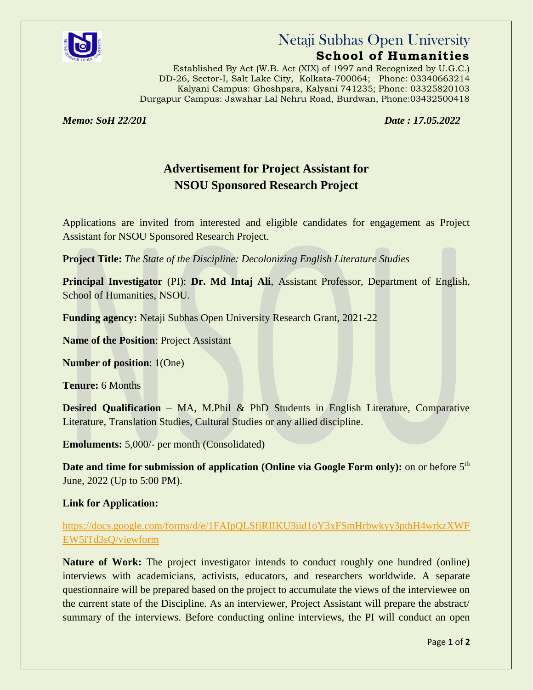

## Netaji Subhas Open University

### **School of Humanities**

 Established By Act (W.B. Act (XIX) of 1997 and Recognized by U.G.C.) DD-26, Sector-I, Salt Lake City, Kolkata-700064; Phone: 03340663214 Kalyani Campus: Ghoshpara, Kalyani 741235; Phone: 03325820103 Durgapur Campus: Jawahar Lal Nehru Road, Burdwan, Phone:03432500418

*Memo: SoH 22/201 Date : 17.05.2022*

## **Advertisement for Project Assistant for NSOU Sponsored Research Project**

Applications are invited from interested and eligible candidates for engagement as Project Assistant for NSOU Sponsored Research Project.

**Project Title:** *The State of the Discipline: Decolonizing English Literature Studies*

**Principal Investigator** (PI): **Dr. Md Intaj Ali**, Assistant Professor, Department of English, School of Humanities, NSOU.

**Funding agency:** Netaji Subhas Open University Research Grant, 2021-22

**Name of the Position**: Project Assistant

**Number of position**: 1(One)

**Tenure:** 6 Months

**Desired Qualification** – MA, M.Phil & PhD Students in English Literature, Comparative Literature, Translation Studies, Cultural Studies or any allied discipline.

**Emoluments:** 5,000/- per month (Consolidated)

Date and time for submission of application (Online via Google Form only): on or before 5<sup>th</sup> June, 2022 (Up to 5:00 PM).

#### **Link for Application:**

[https://docs.google.com/forms/d/e/1FAIpQLSfjRIIKU3iid1oY3xFSmHrbwkyy3pthH4wrkzXWF](https://docs.google.com/forms/d/e/1FAIpQLSfjRIIKU3iid1oY3xFSmHrbwkyy3pthH4wrkzXWFEW5iTd3sQ/viewform) [EW5iTd3sQ/viewform](https://docs.google.com/forms/d/e/1FAIpQLSfjRIIKU3iid1oY3xFSmHrbwkyy3pthH4wrkzXWFEW5iTd3sQ/viewform)

**Nature of Work:** The project investigator intends to conduct roughly one hundred (online) interviews with academicians, activists, educators, and researchers worldwide. A separate questionnaire will be prepared based on the project to accumulate the views of the interviewee on the current state of the Discipline. As an interviewer, Project Assistant will prepare the abstract/ summary of the interviews. Before conducting online interviews, the PI will conduct an open